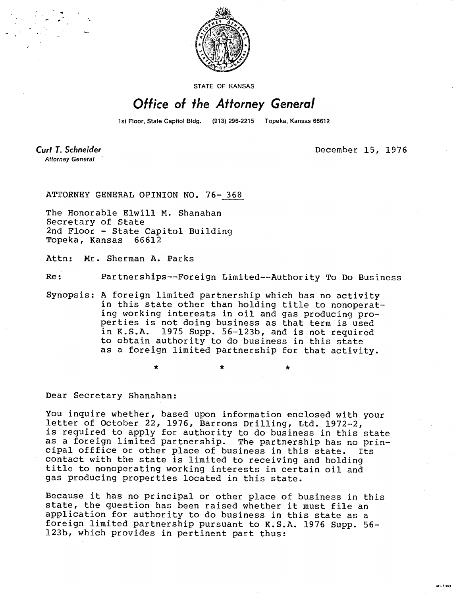

STATE OF KANSAS

## Office of the Attorney General

1st Floor, State Capitol Bldg. (913) 296-2215 Topeka, Kansas 66612

Curt T. Schneider **Attorney General** 

December 15, 1976

ATTORNEY GENERAL OPINION NO. 76- 368

The Honorable Elwill M. Shanahan Secretary of State 2nd Floor - State Capitol Building Topeka, Kansas 66612

Attn: Mr. Sherman A. Parks

Re: Partnerships--Foreign Limited--Authority To Do Business

Synopsis: A foreign limited partnership which has no activity in this state other than holding title to nonoperating working interests in oil and gas producing properties is not doing business as that term is used in K.S.A. 1975 Supp. 56-123b, and is not required to obtain authority to do business in this state as a foreign limited partnership for that activity.

Dear Secretary Shanahan:

You inquire whether, based upon information enclosed with your letter of October 22, 1976, Barrons Drilling, Ltd. 1972-2, is required to apply for authority to do business in this state as a foreign limited partnership. The partnership has no principal office or other place of business in this state. Its contact with the state is limited to receiving and holding title to nonoperating working interests in certain oil and gas producing properties located in this state.

Because it has no principal or other place of business in this state, the question has been raised whether it must file an application for authority to do business in this state as a foreign limited partnership pursuant to K.S.A. 1976 Supp. 56- 123b, which provides in pertinent part thus: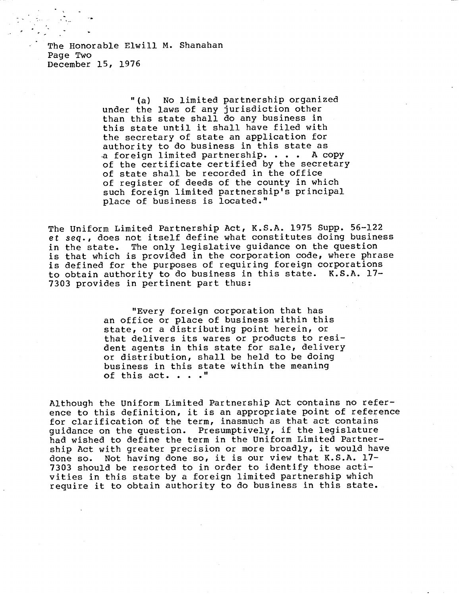The Honorable Elwill M. Shanahan Page Two December 15, 1976

> "(a) No limited partnership organized under the laws of any jurisdiction other than this state shall do any business in this state until it shall have filed with the secretary of state an application for authority to do business in this state as a foreign limited partnership. . . . A copy of the certificate certified by the secretary of state shall be recorded in the office of register of deeds of the county in which such foreign limited partnership's principal place of business is located."

The Uniform Limited Partnership Act, K.S.A. 1975 Supp. 56-122 et seq., does not itself define what constitutes doing business in the state. The only legislative guidance on the question is that which is provided in the corporation code, where phrase is defined for the purposes of requiring foreign corporations to obtain authority to do business in this state. K.S.A. 17- 7303 provides in pertinent part thus:

> "Every foreign corporation that has an office or place of business within this state, or a distributing point herein, or that delivers its wares or products to resident agents in this state for sale, delivery or distribution, shall be held to be doing business in this state within the meaning of this act. . . ."

Although the Uniform Limited Partnership Act contains no reference to this definition, it is an appropriate point of reference for clarification of the term, inasmuch as that act contains guidance on the question. Presumptively, if the legislature had wished to define the term in the Uniform Limited Partnership Act with greater precision or more broadly, it would have done so. Not having done so, it is our view that K.S.A. 17- 7303 should be resorted to in order to identify those activities in this state by a foreign limited partnership which require it to obtain authority to do business in this state.